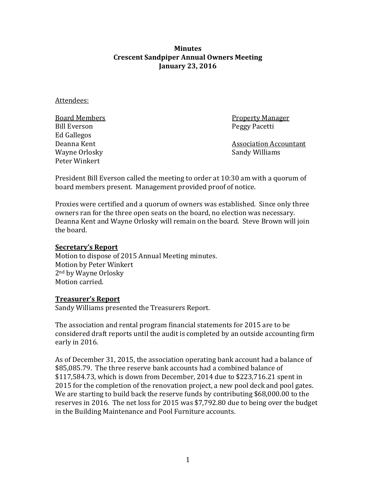**Minutes Crescent Sandpiper Annual Owners Meeting January 23, 2016**

Attendees:

Ed Gallegos Wayne Orlosky Peter Winkert

Board Members Property Manager Peggy Pacetti

Association Accountant<br>Sandy Williams

President Bill Everson called the meeting to order at 10:30 am with a quorum of board members present. Management provided proof of notice.

Proxies were certified and a quorum of owners was established. Since only three owners ran for the three open seats on the board, no election was necessary. Deanna Kent and Wayne Orlosky will remain on the board. Steve Brown will join the board.

## **Secretary's Report**

Motion to dispose of 2015 Annual Meeting minutes. Motion by Peter Winkert 2nd by Wayne Orlosky Motion carried.

#### **Treasurer's Report**

Sandy Williams presented the Treasurers Report.

The association and rental program financial statements for 2015 are to be considered draft reports until the audit is completed by an outside accounting firm early in 2016.

As of December 31, 2015, the association operating bank account had a balance of \$85,085.79. The three reserve bank accounts had a combined balance of \$117,584.73, which is down from December, 2014 due to \$223,716.21 spent in 2015 for the completion of the renovation project, a new pool deck and pool gates. We are starting to build back the reserve funds by contributing \$68,000.00 to the reserves in 2016. The net loss for 2015 was \$7,792.80 due to being over the budget in the Building Maintenance and Pool Furniture accounts.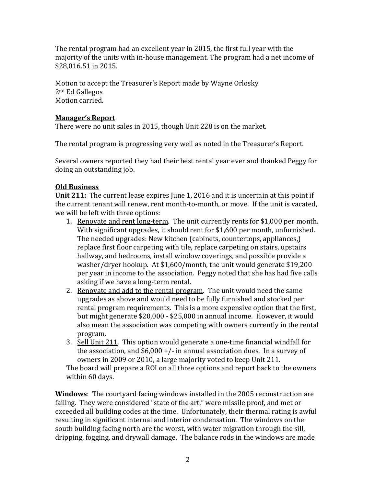The rental program had an excellent year in 2015, the first full year with the majority of the units with in-house management. The program had a net income of \$28,016.51 in 2015.

Motion to accept the Treasurer's Report made by Wayne Orlosky 2nd Ed Gallegos Motion carried.

# **Manager's Report**

There were no unit sales in 2015, though Unit 228 is on the market.

The rental program is progressing very well as noted in the Treasurer's Report.

Several owners reported they had their best rental year ever and thanked Peggy for doing an outstanding job.

## **Old Business**

**Unit 211:** The current lease expires June 1, 2016 and it is uncertain at this point if the current tenant will renew, rent month-to-month, or move. If the unit is vacated, we will be left with three options:

- 1. Renovate and rent long-term. The unit currently rents for \$1,000 per month. With significant upgrades, it should rent for \$1,600 per month, unfurnished. The needed upgrades: New kitchen (cabinets, countertops, appliances,) replace first floor carpeting with tile, replace carpeting on stairs, upstairs hallway, and bedrooms, install window coverings, and possible provide a washer/dryer hookup. At \$1,600/month, the unit would generate \$19,200 per year in income to the association. Peggy noted that she has had five calls asking if we have a long-term rental.
- 2. Renovate and add to the rental program. The unit would need the same upgrades as above and would need to be fully furnished and stocked per rental program requirements. This is a more expensive option that the first, but might generate \$20,000 - \$25,000 in annual income. However, it would also mean the association was competing with owners currently in the rental program.
- 3. Sell Unit 211. This option would generate a one-time financial windfall for the association, and  $$6,000 +/-$  in annual association dues. In a survey of owners in 2009 or 2010, a large majority voted to keep Unit 211.

The board will prepare a ROI on all three options and report back to the owners within 60 days.

**Windows**: The courtyard facing windows installed in the 2005 reconstruction are failing. They were considered "state of the art," were missile proof, and met or exceeded all building codes at the time. Unfortunately, their thermal rating is awful resulting in significant internal and interior condensation. The windows on the south building facing north are the worst, with water migration through the sill, dripping, fogging, and drywall damage. The balance rods in the windows are made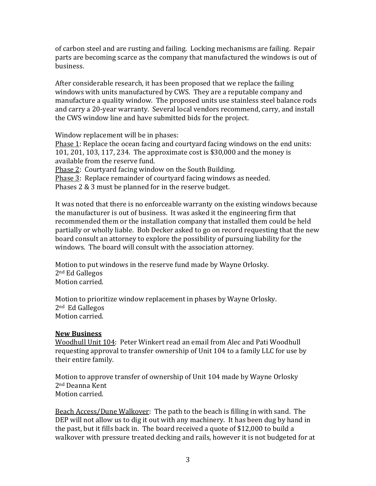of carbon steel and are rusting and failing. Locking mechanisms are failing. Repair parts are becoming scarce as the company that manufactured the windows is out of business.

After considerable research, it has been proposed that we replace the failing windows with units manufactured by CWS. They are a reputable company and manufacture a quality window. The proposed units use stainless steel balance rods and carry a 20-year warranty. Several local vendors recommend, carry, and install the CWS window line and have submitted bids for the project.

Window replacement will be in phases:

Phase 1: Replace the ocean facing and courtyard facing windows on the end units: 101, 201, 103, 117, 234. The approximate cost is \$30,000 and the money is available from the reserve fund. Phase 2: Courtyard facing window on the South Building.

Phase 3: Replace remainder of courtyard facing windows as needed.

Phases 2 & 3 must be planned for in the reserve budget.

It was noted that there is no enforceable warranty on the existing windows because the manufacturer is out of business. It was asked it the engineering firm that recommended them or the installation company that installed them could be held partially or wholly liable. Bob Decker asked to go on record requesting that the new board consult an attorney to explore the possibility of pursuing liability for the windows. The board will consult with the association attorney.

Motion to put windows in the reserve fund made by Wayne Orlosky. 2nd Ed Gallegos Motion carried.

Motion to prioritize window replacement in phases by Wayne Orlosky. 2nd Ed Gallegos Motion carried.

## **New Business**

Woodhull Unit 104: Peter Winkert read an email from Alec and Pati Woodhull requesting approval to transfer ownership of Unit 104 to a family LLC for use by their entire family.

Motion to approve transfer of ownership of Unit 104 made by Wayne Orlosky 2nd Deanna Kent Motion carried.

Beach Access/Dune Walkover: The path to the beach is filling in with sand. The DEP will not allow us to dig it out with any machinery. It has been dug by hand in the past, but it fills back in. The board received a quote of \$12,000 to build a walkover with pressure treated decking and rails, however it is not budgeted for at